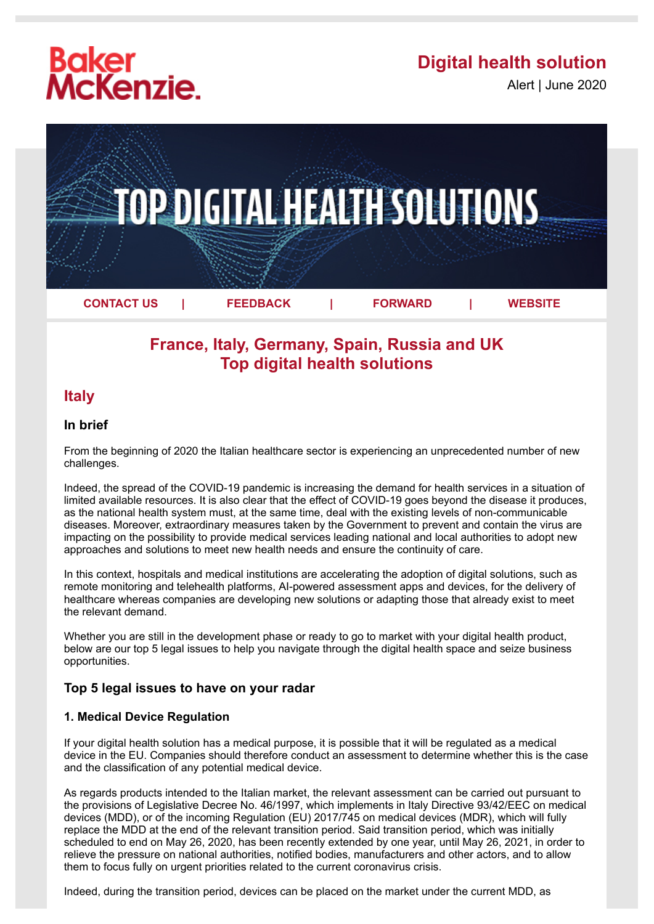# **Baker<br>McKenzie.**

## **Digital health solution**

Alert | June 2020



## **France, Italy, Germany, Spain, Russia and UK Top digital health solutions**

### **Italy**

#### **In brief**

From the beginning of 2020 the Italian healthcare sector is experiencing an unprecedented number of new challenges.

Indeed, the spread of the COVID-19 pandemic is increasing the demand for health services in a situation of limited available resources. It is also clear that the effect of COVID-19 goes beyond the disease it produces, as the national health system must, at the same time, deal with the existing levels of non-communicable diseases. Moreover, extraordinary measures taken by the Government to prevent and contain the virus are impacting on the possibility to provide medical services leading national and local authorities to adopt new approaches and solutions to meet new health needs and ensure the continuity of care.

In this context, hospitals and medical institutions are accelerating the adoption of digital solutions, such as remote monitoring and telehealth platforms, AI-powered assessment apps and devices, for the delivery of healthcare whereas companies are developing new solutions or adapting those that already exist to meet the relevant demand.

Whether you are still in the development phase or ready to go to market with your digital health product, below are our top 5 legal issues to help you navigate through the digital health space and seize business opportunities.

#### **Top 5 legal issues to have on your radar**

#### **1. Medical Device Regulation**

If your digital health solution has a medical purpose, it is possible that it will be regulated as a medical device in the EU. Companies should therefore conduct an assessment to determine whether this is the case and the classification of any potential medical device.

As regards products intended to the Italian market, the relevant assessment can be carried out pursuant to the provisions of Legislative Decree No. 46/1997, which implements in Italy Directive 93/42/EEC on medical devices (MDD), or of the incoming Regulation (EU) 2017/745 on medical devices (MDR), which will fully replace the MDD at the end of the relevant transition period. Said transition period, which was initially scheduled to end on May 26, 2020, has been recently extended by one year, until May 26, 2021, in order to relieve the pressure on national authorities, notified bodies, manufacturers and other actors, and to allow them to focus fully on urgent priorities related to the current coronavirus crisis.

Indeed, during the transition period, devices can be placed on the market under the current MDD, as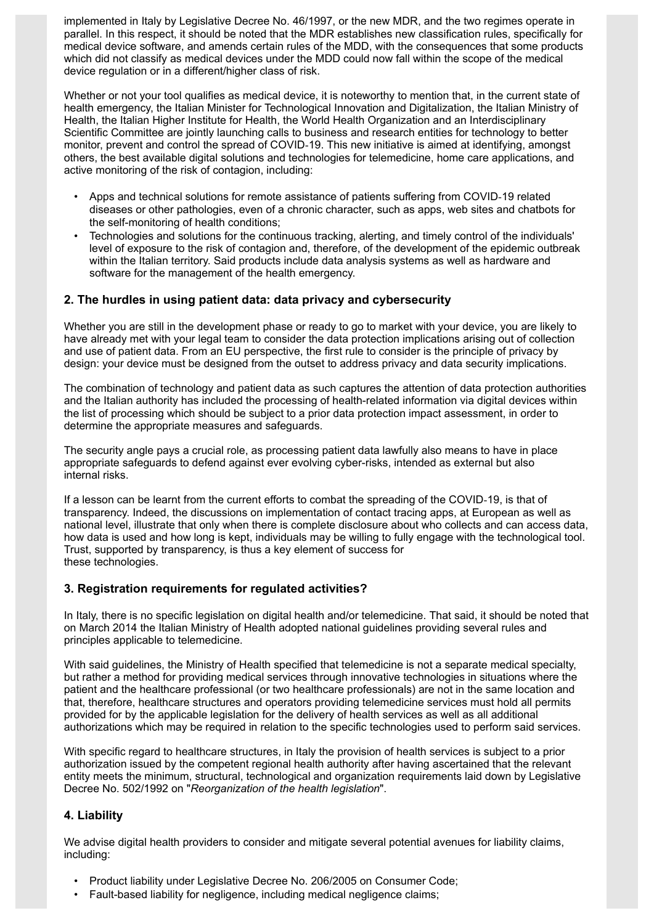implemented in Italy by Legislative Decree No. 46/1997, or the new MDR, and the two regimes operate in parallel. In this respect, it should be noted that the MDR establishes new classification rules, specifically for medical device software, and amends certain rules of the MDD, with the consequences that some products which did not classify as medical devices under the MDD could now fall within the scope of the medical device regulation or in a different/higher class of risk.

Whether or not your tool qualifies as medical device, it is noteworthy to mention that, in the current state of health emergency, the Italian Minister for Technological Innovation and Digitalization, the Italian Ministry of Health, the Italian Higher Institute for Health, the World Health Organization and an Interdisciplinary Scientific Committee are jointly launching calls to business and research entities for technology to better monitor, prevent and control the spread of COVID-19. This new initiative is aimed at identifying, amongst others, the best available digital solutions and technologies for telemedicine, home care applications, and active monitoring of the risk of contagion, including:

- Apps and technical solutions for remote assistance of patients suffering from COVID-19 related diseases or other pathologies, even of a chronic character, such as apps, web sites and chatbots for the self-monitoring of health conditions;
- Technologies and solutions for the continuous tracking, alerting, and timely control of the individuals' level of exposure to the risk of contagion and, therefore, of the development of the epidemic outbreak within the Italian territory. Said products include data analysis systems as well as hardware and software for the management of the health emergency.

#### **2. The hurdles in using patient data: data privacy and cybersecurity**

Whether you are still in the development phase or ready to go to market with your device, you are likely to have already met with your legal team to consider the data protection implications arising out of collection and use of patient data. From an EU perspective, the first rule to consider is the principle of privacy by design: your device must be designed from the outset to address privacy and data security implications.

The combination of technology and patient data as such captures the attention of data protection authorities and the Italian authority has included the processing of health-related information via digital devices within the list of processing which should be subject to a prior data protection impact assessment, in order to determine the appropriate measures and safeguards.

The security angle pays a crucial role, as processing patient data lawfully also means to have in place appropriate safeguards to defend against ever evolving cyber-risks, intended as external but also internal risks.

If a lesson can be learnt from the current efforts to combat the spreading of the COVID-19, is that of transparency. Indeed, the discussions on implementation of contact tracing apps, at European as well as national level, illustrate that only when there is complete disclosure about who collects and can access data, how data is used and how long is kept, individuals may be willing to fully engage with the technological tool. Trust, supported by transparency, is thus a key element of success for these technologies.

#### **3. Registration requirements for regulated activities?**

In Italy, there is no specific legislation on digital health and/or telemedicine. That said, it should be noted that on March 2014 the Italian Ministry of Health adopted national guidelines providing several rules and principles applicable to telemedicine.

With said guidelines, the Ministry of Health specified that telemedicine is not a separate medical specialty, but rather a method for providing medical services through innovative technologies in situations where the patient and the healthcare professional (or two healthcare professionals) are not in the same location and that, therefore, healthcare structures and operators providing telemedicine services must hold all permits provided for by the applicable legislation for the delivery of health services as well as all additional authorizations which may be required in relation to the specific technologies used to perform said services.

With specific regard to healthcare structures, in Italy the provision of health services is subject to a prior authorization issued by the competent regional health authority after having ascertained that the relevant entity meets the minimum, structural, technological and organization requirements laid down by Legislative Decree No. 502/1992 on "*Reorganization of the health legislation*".

#### **4. Liability**

We advise digital health providers to consider and mitigate several potential avenues for liability claims, including:

- Product liability under Legislative Decree No. 206/2005 on Consumer Code;
- Fault-based liability for negligence, including medical negligence claims;